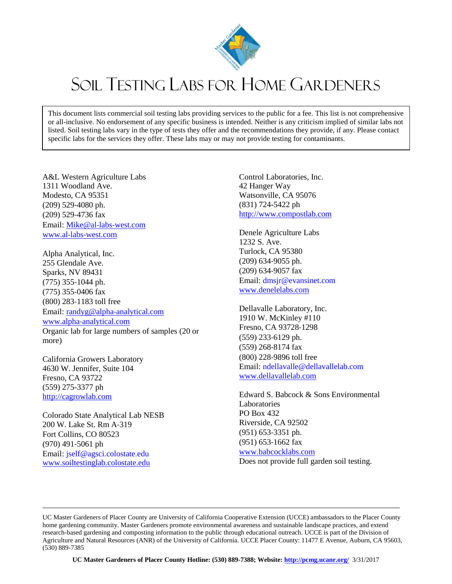

## SOIL TESTING LABS FOR HOME GARDENERS

This document lists commercial soil testing labs providing services to the public for a fee. This list is not comprehensive or all-inclusive. No endorsement of any specific business is intended. Neither is any criticism implied of similar labs not listed. Soil testing labs vary in the type of tests they offer and the recommendations they provide, if any. Please contact specific labs for the services they offer. These labs may or may not provide testing for contaminants.

A&L Western Agriculture Labs 1311 Woodland Ave. Modesto, CA 95351 (209) 529‐4080 ph. (209) 529‐4736 fax Email: [Mike@al](mailto:Mike@al‐labs‐west.com)‐labs‐west.com www.al‐labs‐[west.com](http://www.al‐labs‐west.com/)

Alpha Analytical, Inc. 255 Glendale Ave. Sparks, NV 89431 (775) 355‐1044 ph. (775) 355‐0406 fax (800) 283‐1183 toll free Email: [randyg@alpha](mailto:randyg@alpha‐analytical.com)‐analytical.com www.alpha‐[analytical.com](http://www.alpha‐analytical.com/) Organic lab for large numbers of samples (20 or more)

California Growers Laboratory 4630 W. Jennifer, Suite 104 Fresno, CA 93722 (559) 275-3377 ph [http://cagrowlab.com](http://cagrowlab.com/)

Colorado State Analytical Lab NESB 200 W. Lake St. Rm A‐319 Fort Collins, CO 80523 (970) 491‐5061 ph Email: jself@agsci.colostate.edu [www.soiltestinglab.colostate.edu](http://www.soiltestinglab.colostate.edu/)

Control Laboratories, Inc. 42 Hanger Way Watsonville, CA 95076 (831) 724-5422 ph [http://www.compostlab.com](http://www.compostlab.com/)

Denele Agriculture Labs 1232 S. Ave. Turlock, CA 95380 (209) 634‐9055 ph. (209) 634‐9057 fax Email: dmsjr@evansinet.com [www.denelelabs.com](http://www.denelelabs.com/)

Dellavalle Laboratory, Inc. 1910 W. McKinley #110 Fresno, CA 93728‐1298 (559) 233‐6129 ph. (559) 268‐8174 fax (800) 228‐9896 toll free Email: ndellavalle@dellavallelab.com [www.dellavallelab.com](http://www.dellavallelab.com/)

Edward S. Babcock & Sons Environmental Laboratories PO Box 432 Riverside, CA 92502 (951) 653‐3351 ph. (951) 653‐1662 fax [www.babcocklabs.com](http://www.babcocklabs.com/)

Does not provide full garden soil testing.

UC Master Gardeners of Placer County are University of California Cooperative Extension (UCCE) ambassadors to the Placer County home gardening community. Master Gardeners promote environmental awareness and sustainable landscape practices, and extend research-based gardening and composting information to the public through educational outreach. UCCE is part of the Division of Agriculture and Natural Resources (ANR) of the University of California. UCCE Placer County: 11477 E Avenue, Auburn, CA 95603, (530) 889-7385